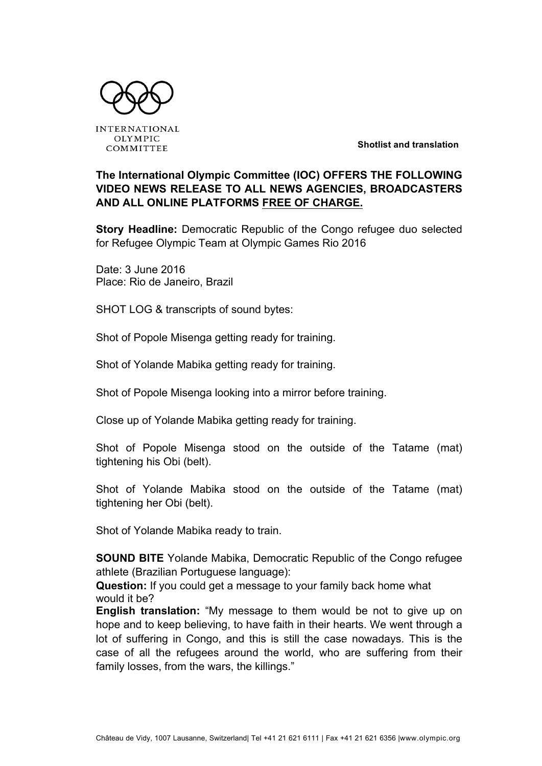

**INTERNATIONAL OLYMPIC** COMMITTEE

**Shotlist and translation**

### **The International Olympic Committee (IOC) OFFERS THE FOLLOWING VIDEO NEWS RELEASE TO ALL NEWS AGENCIES, BROADCASTERS AND ALL ONLINE PLATFORMS FREE OF CHARGE.**

**Story Headline:** Democratic Republic of the Congo refugee duo selected for Refugee Olympic Team at Olympic Games Rio 2016

Date: 3 June 2016 Place: Rio de Janeiro, Brazil

SHOT LOG & transcripts of sound bytes:

Shot of Popole Misenga getting ready for training.

Shot of Yolande Mabika getting ready for training.

Shot of Popole Misenga looking into a mirror before training.

Close up of Yolande Mabika getting ready for training.

Shot of Popole Misenga stood on the outside of the Tatame (mat) tightening his Obi (belt).

Shot of Yolande Mabika stood on the outside of the Tatame (mat) tightening her Obi (belt).

Shot of Yolande Mabika ready to train.

**SOUND BITE** Yolande Mabika, Democratic Republic of the Congo refugee athlete (Brazilian Portuguese language):

**Question:** If you could get a message to your family back home what would it be?

**English translation:** "My message to them would be not to give up on hope and to keep believing, to have faith in their hearts. We went through a lot of suffering in Congo, and this is still the case nowadays. This is the case of all the refugees around the world, who are suffering from their family losses, from the wars, the killings."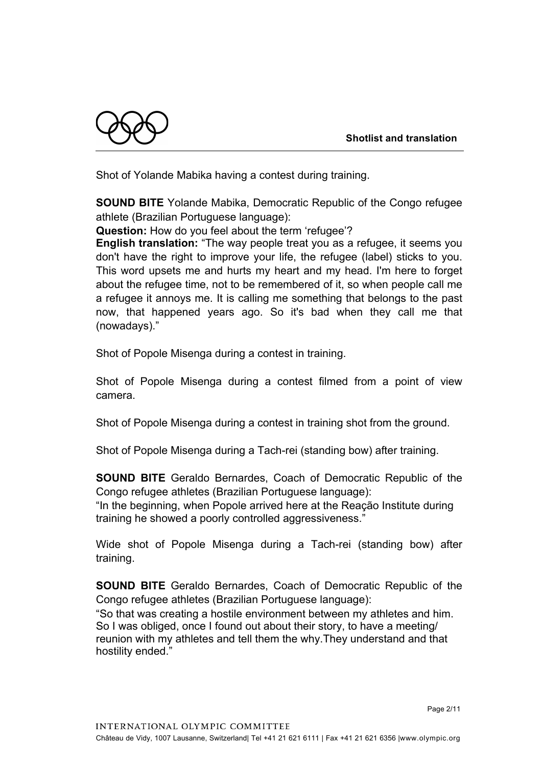

Shot of Yolande Mabika having a contest during training.

**SOUND BITE** Yolande Mabika, Democratic Republic of the Congo refugee athlete (Brazilian Portuguese language):

**Question:** How do you feel about the term 'refugee'?

**English translation:** "The way people treat you as a refugee, it seems you don't have the right to improve your life, the refugee (label) sticks to you. This word upsets me and hurts my heart and my head. I'm here to forget about the refugee time, not to be remembered of it, so when people call me a refugee it annoys me. It is calling me something that belongs to the past now, that happened years ago. So it's bad when they call me that (nowadays)."

Shot of Popole Misenga during a contest in training.

Shot of Popole Misenga during a contest filmed from a point of view camera.

Shot of Popole Misenga during a contest in training shot from the ground.

Shot of Popole Misenga during a Tach-rei (standing bow) after training.

**SOUND BITE** Geraldo Bernardes, Coach of Democratic Republic of the Congo refugee athletes (Brazilian Portuguese language):

"In the beginning, when Popole arrived here at the Reação Institute during training he showed a poorly controlled aggressiveness."

Wide shot of Popole Misenga during a Tach-rei (standing bow) after training.

**SOUND BITE** Geraldo Bernardes, Coach of Democratic Republic of the Congo refugee athletes (Brazilian Portuguese language):

"So that was creating a hostile environment between my athletes and him. So I was obliged, once I found out about their story, to have a meeting/ reunion with my athletes and tell them the why.They understand and that hostility ended."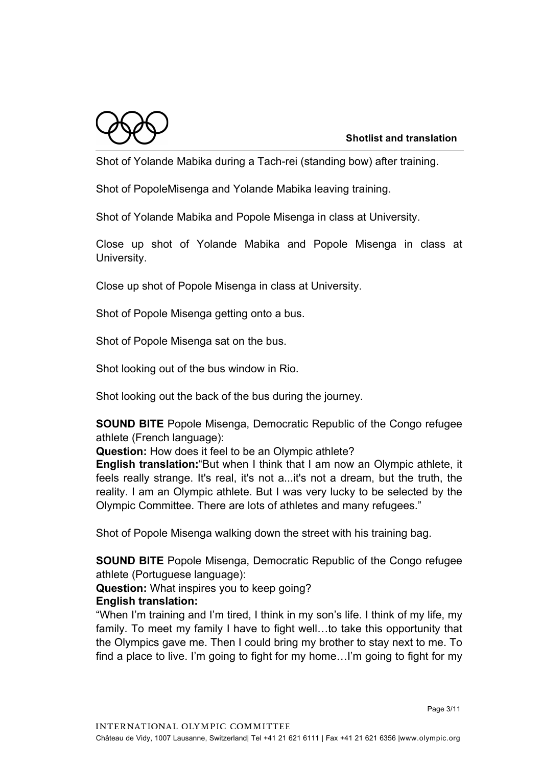

Shot of Yolande Mabika during a Tach-rei (standing bow) after training.

Shot of PopoleMisenga and Yolande Mabika leaving training.

Shot of Yolande Mabika and Popole Misenga in class at University.

Close up shot of Yolande Mabika and Popole Misenga in class at University.

Close up shot of Popole Misenga in class at University.

Shot of Popole Misenga getting onto a bus.

Shot of Popole Misenga sat on the bus.

Shot looking out of the bus window in Rio.

Shot looking out the back of the bus during the journey.

**SOUND BITE** Popole Misenga, Democratic Republic of the Congo refugee athlete (French language):

**Question:** How does it feel to be an Olympic athlete?

**English translation:**"But when I think that I am now an Olympic athlete, it feels really strange. It's real, it's not a...it's not a dream, but the truth, the reality. I am an Olympic athlete. But I was very lucky to be selected by the Olympic Committee. There are lots of athletes and many refugees."

Shot of Popole Misenga walking down the street with his training bag.

**SOUND BITE** Popole Misenga, Democratic Republic of the Congo refugee athlete (Portuguese language):

**Question:** What inspires you to keep going? **English translation:**

"When I'm training and I'm tired, I think in my son's life. I think of my life, my family. To meet my family I have to fight well…to take this opportunity that the Olympics gave me. Then I could bring my brother to stay next to me. To find a place to live. I'm going to fight for my home…I'm going to fight for my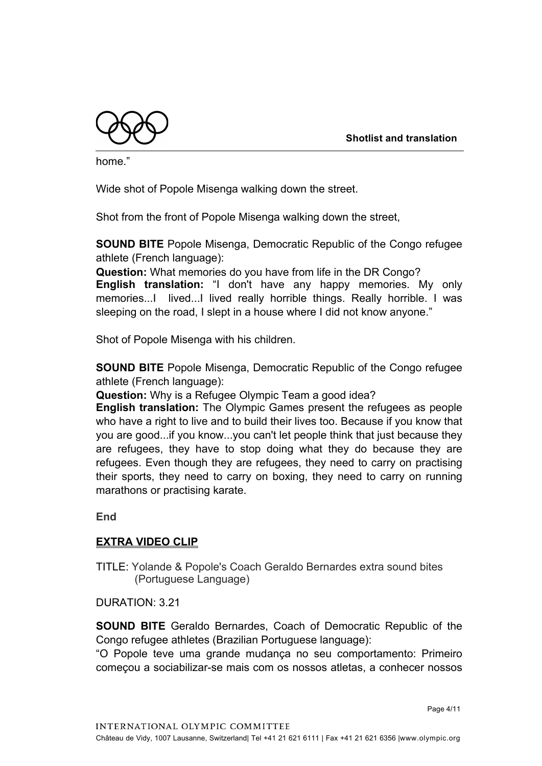

home."

Wide shot of Popole Misenga walking down the street.

Shot from the front of Popole Misenga walking down the street,

**SOUND BITE** Popole Misenga, Democratic Republic of the Congo refugee athlete (French language):

**Question:** What memories do you have from life in the DR Congo? **English translation:** "I don't have any happy memories. My only memories...I lived...I lived really horrible things. Really horrible. I was sleeping on the road, I slept in a house where I did not know anyone."

Shot of Popole Misenga with his children.

**SOUND BITE** Popole Misenga, Democratic Republic of the Congo refugee athlete (French language):

**Question:** Why is a Refugee Olympic Team a good idea?

**English translation:** The Olympic Games present the refugees as people who have a right to live and to build their lives too. Because if you know that you are good...if you know...you can't let people think that just because they are refugees, they have to stop doing what they do because they are refugees. Even though they are refugees, they need to carry on practising their sports, they need to carry on boxing, they need to carry on running marathons or practising karate.

**End**

#### **EXTRA VIDEO CLIP**

TITLE: Yolande & Popole's Coach Geraldo Bernardes extra sound bites (Portuguese Language)

DURATION: 3.21

**SOUND BITE** Geraldo Bernardes, Coach of Democratic Republic of the Congo refugee athletes (Brazilian Portuguese language):

"O Popole teve uma grande mudança no seu comportamento: Primeiro começou a sociabilizar-se mais com os nossos atletas, a conhecer nossos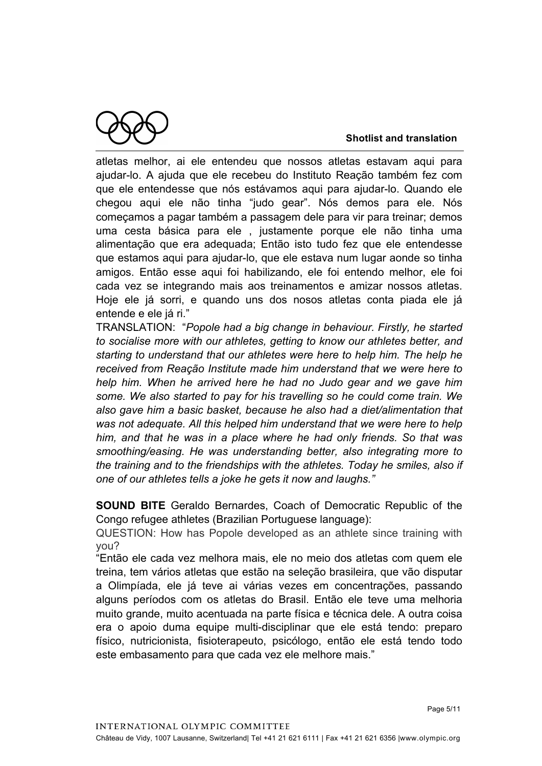

atletas melhor, ai ele entendeu que nossos atletas estavam aqui para ajudar-lo. A ajuda que ele recebeu do Instituto Reação também fez com que ele entendesse que nós estávamos aqui para ajudar-lo. Quando ele chegou aqui ele não tinha "judo gear". Nós demos para ele. Nós começamos a pagar também a passagem dele para vir para treinar; demos uma cesta básica para ele , justamente porque ele não tinha uma alimentação que era adequada; Então isto tudo fez que ele entendesse que estamos aqui para ajudar-lo, que ele estava num lugar aonde so tinha amigos. Então esse aqui foi habilizando, ele foi entendo melhor, ele foi cada vez se integrando mais aos treinamentos e amizar nossos atletas. Hoje ele já sorri, e quando uns dos nosos atletas conta piada ele já entende e ele já ri."

TRANSLATION: "*Popole had a big change in behaviour. Firstly, he started to socialise more with our athletes, getting to know our athletes better, and starting to understand that our athletes were here to help him. The help he received from Reação Institute made him understand that we were here to help him. When he arrived here he had no Judo gear and we gave him some. We also started to pay for his travelling so he could come train. We also gave him a basic basket, because he also had a diet/alimentation that was not adequate. All this helped him understand that we were here to help him, and that he was in a place where he had only friends. So that was smoothing/easing. He was understanding better, also integrating more to the training and to the friendships with the athletes. Today he smiles, also if one of our athletes tells a joke he gets it now and laughs."*

**SOUND BITE** Geraldo Bernardes, Coach of Democratic Republic of the Congo refugee athletes (Brazilian Portuguese language):

QUESTION: How has Popole developed as an athlete since training with you?

"Então ele cada vez melhora mais, ele no meio dos atletas com quem ele treina, tem vários atletas que estão na seleção brasileira, que vão disputar a Olimpíada, ele já teve ai várias vezes em concentrações, passando alguns períodos com os atletas do Brasil. Então ele teve uma melhoria muito grande, muito acentuada na parte física e técnica dele. A outra coisa era o apoio duma equipe multi-disciplinar que ele está tendo: preparo físico, nutricionista, fisioterapeuto, psicólogo, então ele está tendo todo este embasamento para que cada vez ele melhore mais."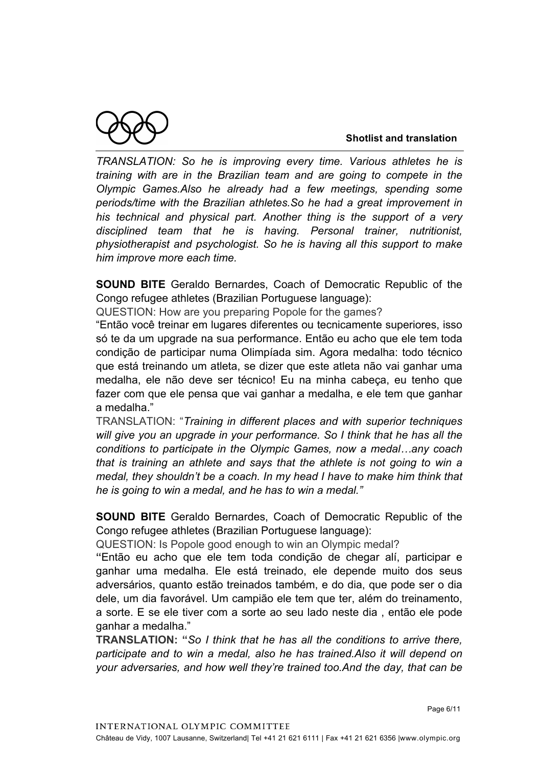

*TRANSLATION: So he is improving every time. Various athletes he is training with are in the Brazilian team and are going to compete in the Olympic Games.Also he already had a few meetings, spending some periods/time with the Brazilian athletes.So he had a great improvement in his technical and physical part. Another thing is the support of a very disciplined team that he is having. Personal trainer, nutritionist, physiotherapist and psychologist. So he is having all this support to make him improve more each time.*

**SOUND BITE** Geraldo Bernardes, Coach of Democratic Republic of the Congo refugee athletes (Brazilian Portuguese language):

QUESTION: How are you preparing Popole for the games?

"Então você treinar em lugares diferentes ou tecnicamente superiores, isso só te da um upgrade na sua performance. Então eu acho que ele tem toda condição de participar numa Olimpíada sim. Agora medalha: todo técnico que está treinando um atleta, se dizer que este atleta não vai ganhar uma medalha, ele não deve ser técnico! Eu na minha cabeça, eu tenho que fazer com que ele pensa que vai ganhar a medalha, e ele tem que ganhar a medalha."

TRANSLATION: "*Training in different places and with superior techniques will give you an upgrade in your performance. So I think that he has all the conditions to participate in the Olympic Games, now a medal…any coach that is training an athlete and says that the athlete is not going to win a medal, they shouldn't be a coach. In my head I have to make him think that he is going to win a medal, and he has to win a medal."*

**SOUND BITE** Geraldo Bernardes, Coach of Democratic Republic of the Congo refugee athletes (Brazilian Portuguese language):

QUESTION: Is Popole good enough to win an Olympic medal?

**"**Então eu acho que ele tem toda condição de chegar alí, participar e ganhar uma medalha. Ele está treinado, ele depende muito dos seus adversários, quanto estão treinados também, e do dia, que pode ser o dia dele, um dia favorável. Um campião ele tem que ter, além do treinamento, a sorte. E se ele tiver com a sorte ao seu lado neste dia , então ele pode ganhar a medalha."

**TRANSLATION: "***So I think that he has all the conditions to arrive there, participate and to win a medal, also he has trained.Also it will depend on your adversaries, and how well they're trained too.And the day, that can be*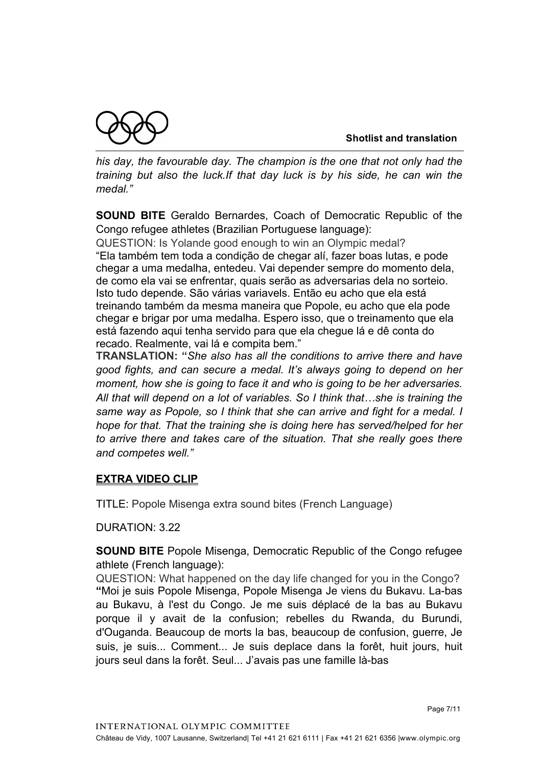

*his day, the favourable day. The champion is the one that not only had the training but also the luck.If that day luck is by his side, he can win the medal."*

**SOUND BITE** Geraldo Bernardes, Coach of Democratic Republic of the Congo refugee athletes (Brazilian Portuguese language):

QUESTION: Is Yolande good enough to win an Olympic medal? "Ela também tem toda a condição de chegar alí, fazer boas lutas, e pode chegar a uma medalha, entedeu. Vai depender sempre do momento dela, de como ela vai se enfrentar, quais serão as adversarias dela no sorteio. Isto tudo depende. São várias variavels. Então eu acho que ela está treinando também da mesma maneira que Popole, eu acho que ela pode chegar e brigar por uma medalha. Espero isso, que o treinamento que ela está fazendo aqui tenha servido para que ela chegue lá e dê conta do recado. Realmente, vai lá e compita bem."

**TRANSLATION: "***She also has all the conditions to arrive there and have good fights, and can secure a medal. It's always going to depend on her moment, how she is going to face it and who is going to be her adversaries. All that will depend on a lot of variables. So I think that…she is training the same way as Popole, so I think that she can arrive and fight for a medal. I hope for that. That the training she is doing here has served/helped for her to arrive there and takes care of the situation. That she really goes there and competes well."*

## **EXTRA VIDEO CLIP**

TITLE: Popole Misenga extra sound bites (French Language)

DURATION: 3.22

**SOUND BITE** Popole Misenga, Democratic Republic of the Congo refugee athlete (French language):

QUESTION: What happened on the day life changed for you in the Congo? **"**Moi je suis Popole Misenga, Popole Misenga Je viens du Bukavu. La-bas au Bukavu, à l'est du Congo. Je me suis déplacé de la bas au Bukavu porque il y avait de la confusion; rebelles du Rwanda, du Burundi, d'Ouganda. Beaucoup de morts la bas, beaucoup de confusion, guerre, Je suis, je suis... Comment... Je suis deplace dans la forêt, huit jours, huit jours seul dans la forêt. Seul... J'avais pas une famille là-bas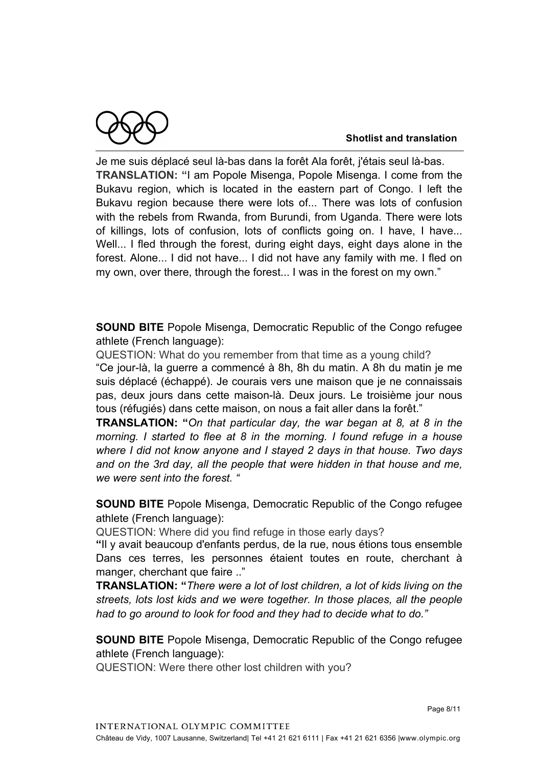Je me suis déplacé seul là-bas dans la forêt Ala forêt, j'étais seul là-bas. **TRANSLATION: "**I am Popole Misenga, Popole Misenga. I come from the Bukavu region, which is located in the eastern part of Congo. I left the Bukavu region because there were lots of... There was lots of confusion with the rebels from Rwanda, from Burundi, from Uganda, There were lots of killings, lots of confusion, lots of conflicts going on. I have, I have... Well... I fled through the forest, during eight days, eight days alone in the forest. Alone... I did not have... I did not have any family with me. I fled on my own, over there, through the forest... I was in the forest on my own."

**SOUND BITE** Popole Misenga, Democratic Republic of the Congo refugee athlete (French language):

QUESTION: What do you remember from that time as a young child? "Ce jour-là, la guerre a commencé à 8h, 8h du matin. A 8h du matin je me suis déplacé (échappé). Je courais vers une maison que je ne connaissais pas, deux jours dans cette maison-là. Deux jours. Le troisième jour nous tous (réfugiés) dans cette maison, on nous a fait aller dans la forêt."

**TRANSLATION: "***On that particular day, the war began at 8, at 8 in the morning. I started to flee at 8 in the morning. I found refuge in a house where I did not know anyone and I stayed 2 days in that house. Two days and on the 3rd day, all the people that were hidden in that house and me, we were sent into the forest. "*

**SOUND BITE** Popole Misenga, Democratic Republic of the Congo refugee athlete (French language):

QUESTION: Where did you find refuge in those early days?

**"**Il y avait beaucoup d'enfants perdus, de la rue, nous étions tous ensemble Dans ces terres, les personnes étaient toutes en route, cherchant à manger, cherchant que faire .."

**TRANSLATION: "***There were a lot of lost children, a lot of kids living on the streets, lots lost kids and we were together. In those places, all the people had to go around to look for food and they had to decide what to do."*

**SOUND BITE** Popole Misenga, Democratic Republic of the Congo refugee athlete (French language):

QUESTION: Were there other lost children with you?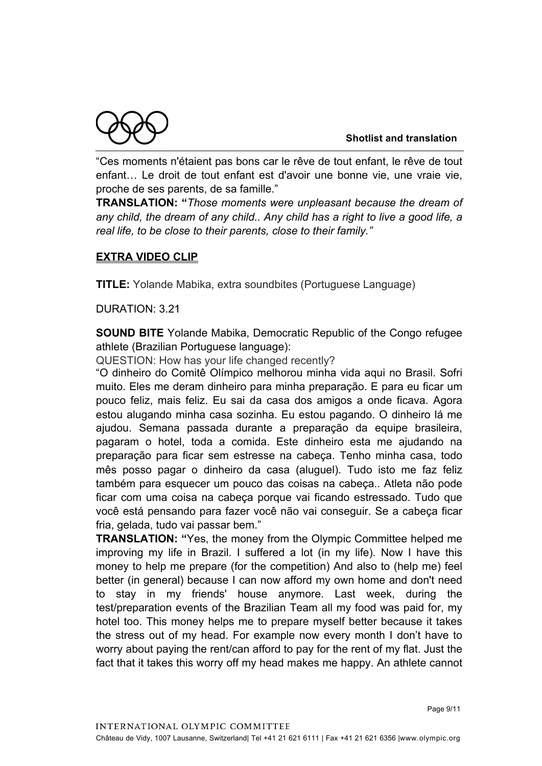"Ces moments n'étaient pas bons car le rêve de tout enfant, le rêve de tout enfant… Le droit de tout enfant est d'avoir une bonne vie, une vraie vie, proche de ses parents, de sa famille."

**TRANSLATION: "***Those moments were unpleasant because the dream of any child, the dream of any child.. Any child has a right to live a good life, a real life, to be close to their parents, close to their family."*

# **EXTRA VIDEO CLIP**

**TITLE:** Yolande Mabika, extra soundbites (Portuguese Language)

DURATION: 3.21

**SOUND BITE** Yolande Mabika, Democratic Republic of the Congo refugee athlete (Brazilian Portuguese language):

QUESTION: How has your life changed recently?

"O dinheiro do Comitê Olímpico melhorou minha vida aqui no Brasil. Sofri muito. Eles me deram dinheiro para minha preparação. E para eu ficar um pouco feliz, mais feliz. Eu sai da casa dos amigos a onde ficava. Agora estou alugando minha casa sozinha. Eu estou pagando. O dinheiro lá me ajudou. Semana passada durante a preparação da equipe brasileira, pagaram o hotel, toda a comida. Este dinheiro esta me ajudando na preparação para ficar sem estresse na cabeça. Tenho minha casa, todo mês posso pagar o dinheiro da casa (aluguel). Tudo isto me faz feliz também para esquecer um pouco das coisas na cabeça.. Atleta não pode ficar com uma coisa na cabeça porque vai ficando estressado. Tudo que você está pensando para fazer você não vai conseguir. Se a cabeça ficar fria, gelada, tudo vai passar bem."

**TRANSLATION: "**Yes, the money from the Olympic Committee helped me improving my life in Brazil. I suffered a lot (in my life). Now I have this money to help me prepare (for the competition) And also to (help me) feel better (in general) because I can now afford my own home and don't need to stay in my friends' house anymore. Last week, during the test/preparation events of the Brazilian Team all my food was paid for, my hotel too. This money helps me to prepare myself better because it takes the stress out of my head. For example now every month I don't have to worry about paying the rent/can afford to pay for the rent of my flat. Just the fact that it takes this worry off my head makes me happy. An athlete cannot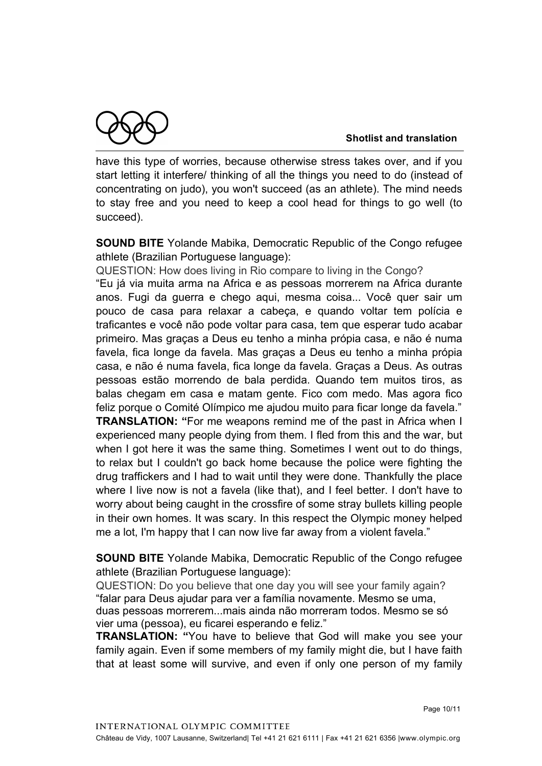

have this type of worries, because otherwise stress takes over, and if you start letting it interfere/ thinking of all the things you need to do (instead of concentrating on judo), you won't succeed (as an athlete). The mind needs to stay free and you need to keep a cool head for things to go well (to succeed).

**SOUND BITE** Yolande Mabika, Democratic Republic of the Congo refugee athlete (Brazilian Portuguese language):

QUESTION: How does living in Rio compare to living in the Congo? "Eu já via muita arma na Africa e as pessoas morrerem na Africa durante anos. Fugi da guerra e chego aqui, mesma coisa... Você quer sair um pouco de casa para relaxar a cabeça, e quando voltar tem polícia e traficantes e você não pode voltar para casa, tem que esperar tudo acabar primeiro. Mas graças a Deus eu tenho a minha própia casa, e não é numa favela, fica longe da favela. Mas graças a Deus eu tenho a minha própia casa, e não é numa favela, fica longe da favela. Graças a Deus. As outras pessoas estão morrendo de bala perdida. Quando tem muitos tiros, as balas chegam em casa e matam gente. Fico com medo. Mas agora fico feliz porque o Comité Olímpico me ajudou muito para ficar longe da favela."

**TRANSLATION: "**For me weapons remind me of the past in Africa when I experienced many people dying from them. I fled from this and the war, but when I got here it was the same thing. Sometimes I went out to do things, to relax but I couldn't go back home because the police were fighting the drug traffickers and I had to wait until they were done. Thankfully the place where I live now is not a favela (like that), and I feel better. I don't have to worry about being caught in the crossfire of some stray bullets killing people in their own homes. It was scary. In this respect the Olympic money helped me a lot, I'm happy that I can now live far away from a violent favela."

**SOUND BITE** Yolande Mabika, Democratic Republic of the Congo refugee athlete (Brazilian Portuguese language):

QUESTION: Do you believe that one day you will see your family again? "falar para Deus ajudar para ver a família novamente. Mesmo se uma, duas pessoas morrerem...mais ainda não morreram todos. Mesmo se só vier uma (pessoa), eu ficarei esperando e feliz."

**TRANSLATION: "**You have to believe that God will make you see your family again. Even if some members of my family might die, but I have faith that at least some will survive, and even if only one person of my family